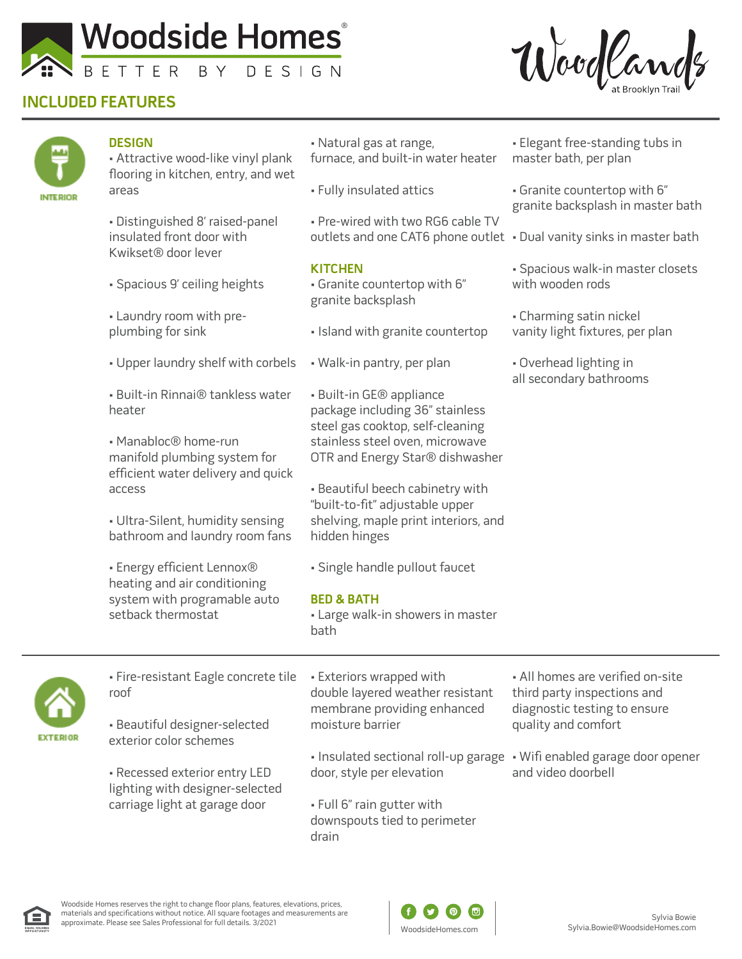

## **INCLUDED FEATURES**





### **DESIGN**

• Attractive wood-like vinyl plank flooring in kitchen, entry, and wet areas

• Distinguished 8' raised-panel insulated front door with Kwikset® door lever

- Spacious 9' ceiling heights
- Laundry room with preplumbing for sink
- Upper laundry shelf with corbels
- Built-in Rinnai® tankless water heater

• Manabloc® home-run manifold plumbing system for efficient water delivery and quick access

• Ultra-Silent, humidity sensing bathroom and laundry room fans

• Energy efficient Lennox® heating and air conditioning system with programable auto setback thermostat

- Natural gas at range, furnace, and built-in water heater
- Fully insulated attics

• Pre-wired with two RG6 cable TV

### **KITCHEN**

- Granite countertop with 6" granite backsplash
- Island with granite countertop
- Walk-in pantry, per plan
- Built-in GE® appliance package including 36" stainless steel gas cooktop, self-cleaning stainless steel oven, microwave OTR and Energy Star® dishwasher
- Beautiful beech cabinetry with "built-to-fit" adjustable upper shelving, maple print interiors, and hidden hinges
- Single handle pullout faucet

#### **BED & BATH**

• Large walk-in showers in master bath

- Elegant free-standing tubs in master bath, per plan
- Granite countertop with 6" granite backsplash in master bath
- outlets and one CAT6 phone outlet Dual vanity sinks in master bath
	- Spacious walk-in master closets with wooden rods
	- Charming satin nickel vanity light fixtures, per plan
	- Overhead lighting in all secondary bathrooms



• Fire-resistant Eagle concrete tile roof

• Beautiful designer-selected exterior color schemes

• Recessed exterior entry LED lighting with designer-selected carriage light at garage door

• Exteriors wrapped with double layered weather resistant membrane providing enhanced moisture barrier

- Insulated sectional roll-up garage Wifi enabled garage door opener door, style per elevation
- Full 6" rain gutter with downspouts tied to perimeter drain
- All homes are verified on-site third party inspections and diagnostic testing to ensure quality and comfort
- and video doorbell